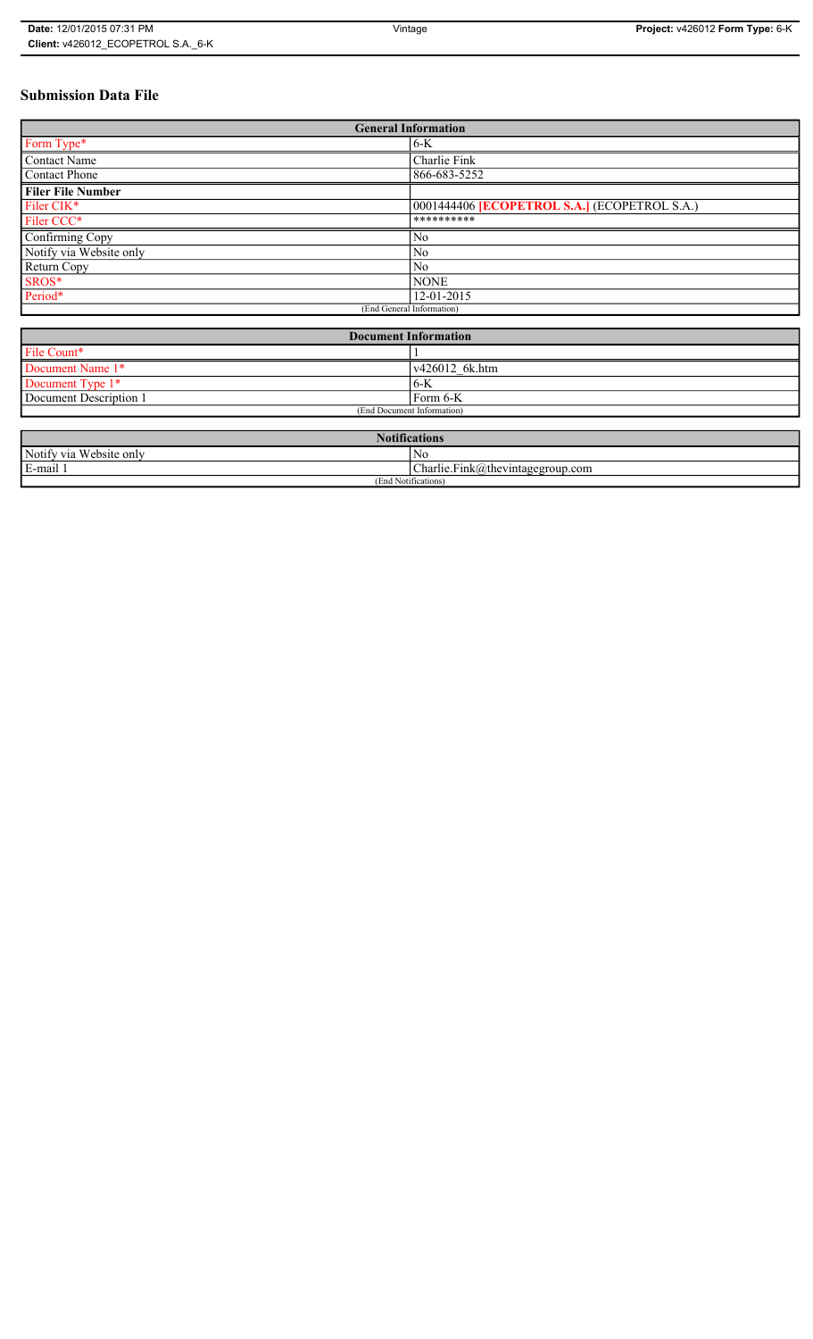# **Submission Data File**

| <b>General Information</b>                                       |                                                   |
|------------------------------------------------------------------|---------------------------------------------------|
| Form Type*                                                       | 6-K                                               |
| <b>Contact Name</b>                                              | Charlie Fink                                      |
| <b>Contact Phone</b>                                             | 866-683-5252                                      |
| <b>Filer File Number</b>                                         |                                                   |
| Filer CIK*                                                       | 0001444406 <b>ECOPETROL S.A.</b> (ECOPETROL S.A.) |
| Filer CCC*                                                       | **********                                        |
| Confirming Copy                                                  | No                                                |
| Notify via Website only                                          | No                                                |
| Return Copy                                                      | No                                                |
| SROS*                                                            | <b>NONE</b>                                       |
| Period*                                                          | 12-01-2015                                        |
| (End General Information)                                        |                                                   |
|                                                                  |                                                   |
| $\mathbf{D}$ $\mathbf{I}$ $\mathbf{F}$ $\mathbf{C}$ $\mathbf{I}$ |                                                   |

| <b>Document Information</b> |                        |
|-----------------------------|------------------------|
| File Count*                 |                        |
| Document Name 1*            | $\sqrt{426012}$ 6k.htm |
| Document Type 1*            | '6-K                   |
| Document Description 1      | l Form 6-K             |
| (End Document Information)  |                        |

| <b>Notifications</b>                         |                                                                 |
|----------------------------------------------|-----------------------------------------------------------------|
| Notify via<br><b>TT7</b> 1<br>. Website only | No                                                              |
| E-mail                                       | $\mathbf{r}$<br>$\sim$<br>$Charlie.Fink(a)$ thevintagegroup.com |
| (End Notifications)                          |                                                                 |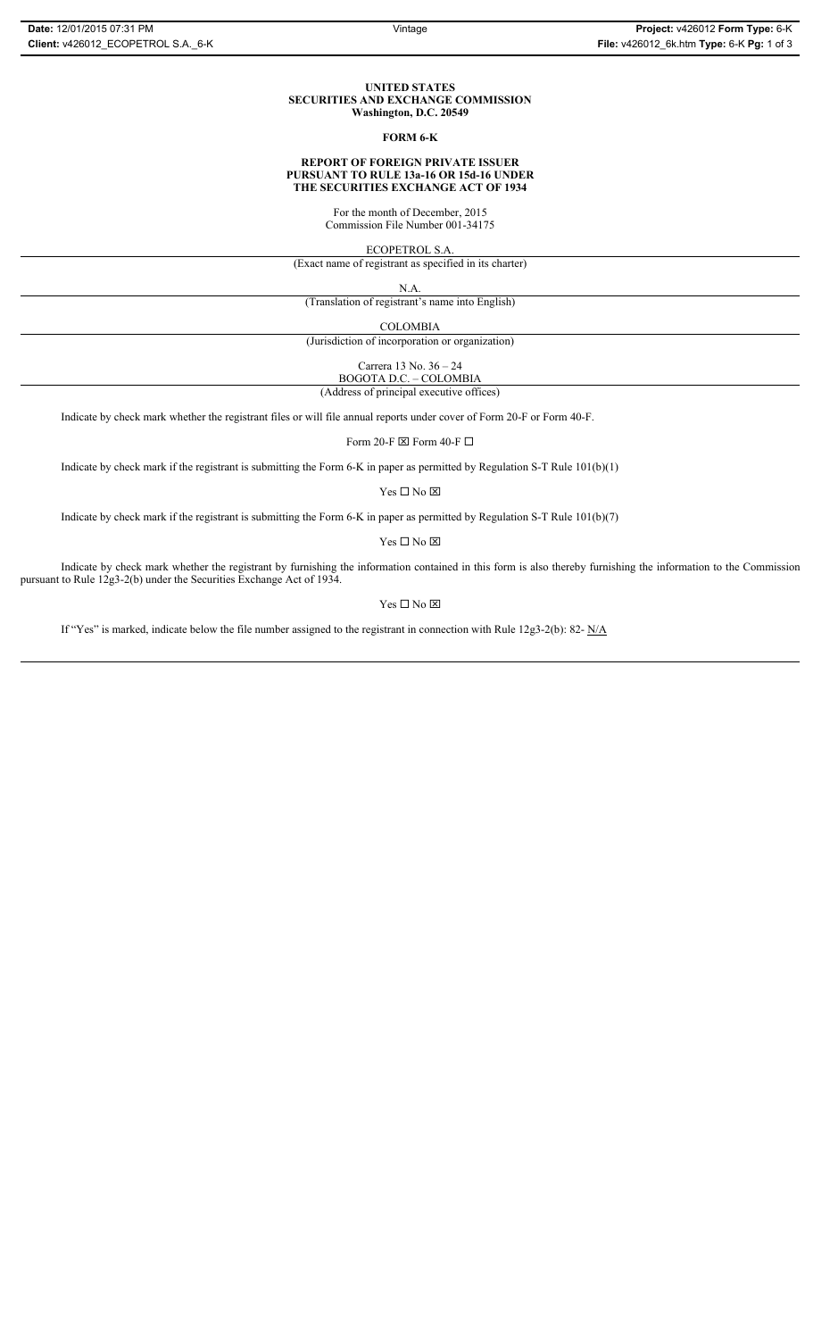#### **UNITED STATES SECURITIES AND EXCHANGE COMMISSION Washington, D.C. 20549**

### **FORM 6-K**

#### **REPORT OF FOREIGN PRIVATE ISSUER PURSUANT TO RULE 13a-16 OR 15d-16 UNDER THE SECURITIES EXCHANGE ACT OF 1934**

For the month of December, 2015

Commission File Number 001-34175

ECOPETROL S.A.

(Exact name of registrant as specified in its charter)

N.A.

(Translation of registrant's name into English)

COLOMBIA

(Jurisdiction of incorporation or organization)

Carrera 13 No. 36 – 24

BOGOTA D.C. – COLOMBIA (Address of principal executive offices)

Indicate by check mark whether the registrant files or will file annual reports under cover of Form 20-F or Form 40-F.

Form 20-F  $\boxtimes$  Form 40-F  $\Box$ 

Indicate by check mark if the registrant is submitting the Form 6-K in paper as permitted by Regulation S-T Rule 101(b)(1)

 $Yes \Box No \boxtimes$ 

Indicate by check mark if the registrant is submitting the Form 6-K in paper as permitted by Regulation S-T Rule 101(b)(7)

 $Yes \Box No \boxtimes$ 

Indicate by check mark whether the registrant by furnishing the information contained in this form is also thereby furnishing the information to the Commission pursuant to Rule 12g3-2(b) under the Securities Exchange Act of 1934.

Yes $\Box$  No  $\boxtimes$ 

If "Yes" is marked, indicate below the file number assigned to the registrant in connection with Rule 12g3-2(b): 82-  $N/A$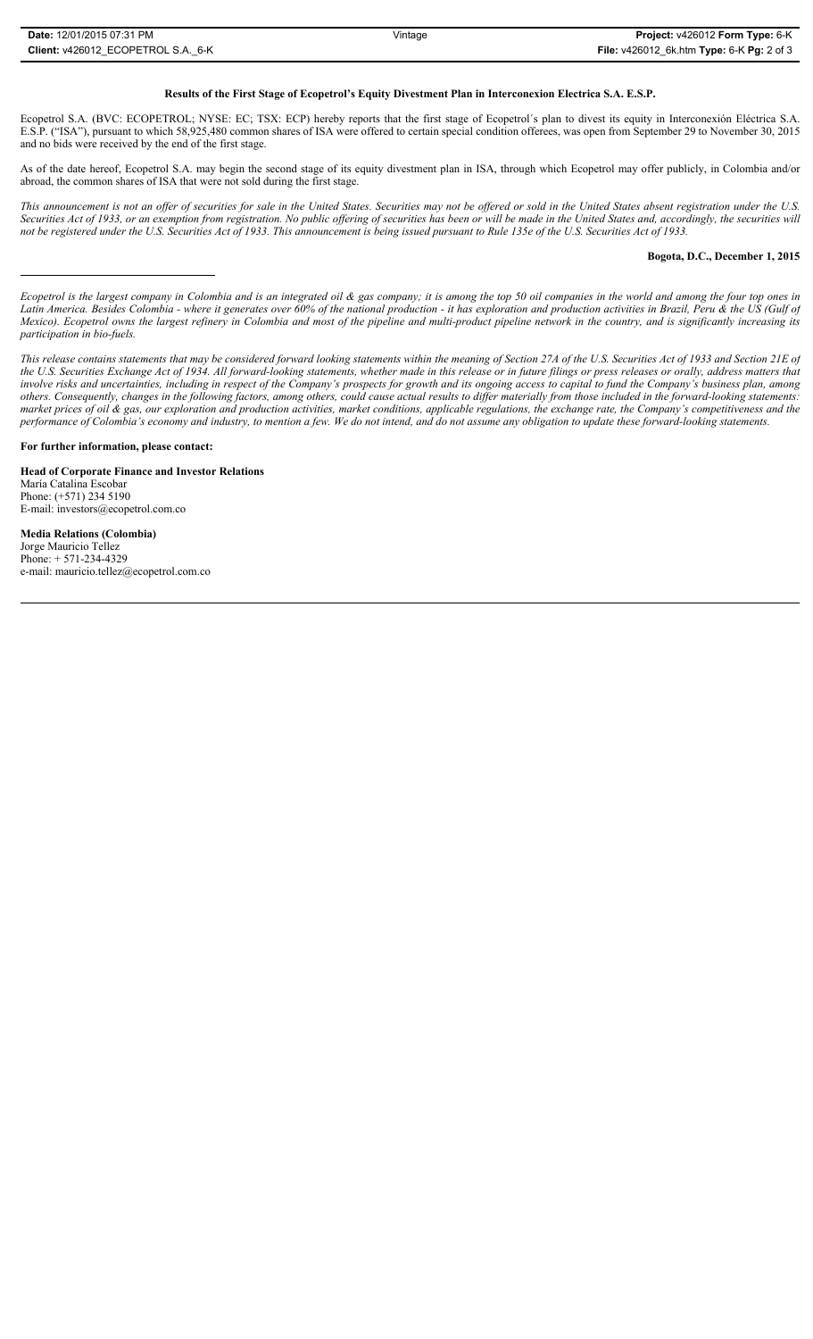## **Results of the First Stage of Ecopetrol's Equity Divestment Plan in Interconexion Electrica S.A. E.S.P.**

Ecopetrol S.A. (BVC: ECOPETROL; NYSE: EC; TSX: ECP) hereby reports that the first stage of Ecopetrol´s plan to divest its equity in Interconexión Eléctrica S.A. E.S.P. ("ISA"), pursuant to which 58,925,480 common shares of ISA were offered to certain special condition offerees, was open from September 29 to November 30, 2015 and no bids were received by the end of the first stage.

As of the date hereof, Ecopetrol S.A. may begin the second stage of its equity divestment plan in ISA, through which Ecopetrol may offer publicly, in Colombia and/or abroad, the common shares of ISA that were not sold during the first stage.

*This announcement is not an offer of securities for sale in the United States. Securities may not be offered or sold in the United States absent registration under the U.S. Securities Act of 1933, or an exemption from registration. No public offering of securities has been or will be made in the United States and, accordingly, the securities will not be registered under the U.S. Securities Act of 1933. This announcement is being issued pursuant to Rule 135e of the U.S. Securities Act of 1933.*

## **Bogota, D.C., December 1, 2015**

*Ecopetrol is the largest company in Colombia and is an integrated oil & gas company; it is among the top 50 oil companies in the world and among the four top ones in Latin America. Besides Colombia - where it generates over 60% of the national production - it has exploration and production activities in Brazil, Peru & the US (Gulf of Mexico). Ecopetrol owns the largest refinery in Colombia and most of the pipeline and multi-product pipeline network in the country, and is significantly increasing its participation in bio-fuels.*

*This release contains statements that may be considered forward looking statements within the meaning of Section 27A of the U.S. Securities Act of 1933 and Section 21E of the U.S. Securities Exchange Act of 1934. All forward-looking statements, whether made in this release or in future filings or press releases or orally, address matters that involve risks and uncertainties, including in respect of the Company's prospects for growth and its ongoing access to capital to fund the Company's business plan, among others. Consequently, changes in the following factors, among others, could cause actual results to differ materially from those included in the forward-looking statements: market prices of oil & gas, our exploration and production activities, market conditions, applicable regulations, the exchange rate, the Company's competitiveness and the performance of Colombia's economy and industry, to mention a few. We do not intend, and do not assume any obligation to update these forward-looking statements.*

**For further information, please contact:** 

**Head of Corporate Finance and Investor Relations** María Catalina Escobar Phone: (+571) 234 5190 E-mail: investors@ecopetrol.com.co

**Media Relations (Colombia)**  Jorge Mauricio Tellez Phone: + 571-234-4329 e-mail: mauricio.tellez@ecopetrol.com.co